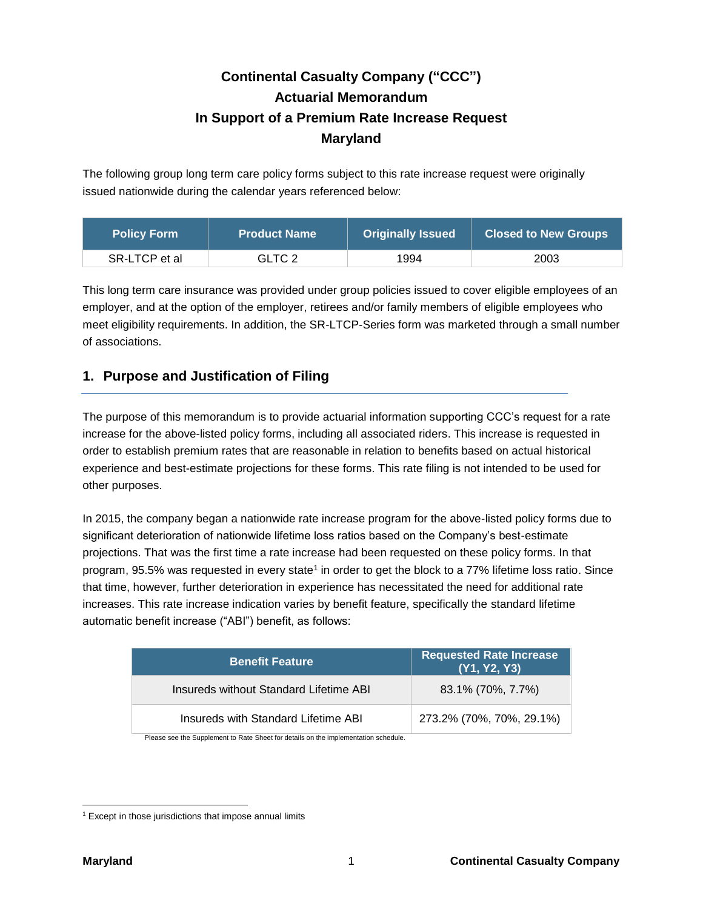# **Continental Casualty Company ("CCC") Actuarial Memorandum In Support of a Premium Rate Increase Request Maryland**

The following group long term care policy forms subject to this rate increase request were originally issued nationwide during the calendar years referenced below:

| Policy Form <b>\</b> | <b>Product Name</b> | <b>Originally Issued</b> | <b>Closed to New Groups</b> |  |
|----------------------|---------------------|--------------------------|-----------------------------|--|
| SR-LTCP et al.       | GLTC 2              | 1994                     | 2003                        |  |

This long term care insurance was provided under group policies issued to cover eligible employees of an employer, and at the option of the employer, retirees and/or family members of eligible employees who meet eligibility requirements. In addition, the SR-LTCP-Series form was marketed through a small number of associations.

# **1. Purpose and Justification of Filing**

The purpose of this memorandum is to provide actuarial information supporting CCC's request for a rate increase for the above-listed policy forms, including all associated riders. This increase is requested in order to establish premium rates that are reasonable in relation to benefits based on actual historical experience and best-estimate projections for these forms. This rate filing is not intended to be used for other purposes.

In 2015, the company began a nationwide rate increase program for the above-listed policy forms due to significant deterioration of nationwide lifetime loss ratios based on the Company's best-estimate projections. That was the first time a rate increase had been requested on these policy forms. In that program, 95.5% was requested in every state<sup>1</sup> in order to get the block to a 77% lifetime loss ratio. Since that time, however, further deterioration in experience has necessitated the need for additional rate increases. This rate increase indication varies by benefit feature, specifically the standard lifetime automatic benefit increase ("ABI") benefit, as follows:

| <b>Benefit Feature</b>                 | <b>Requested Rate Increase</b><br>(Y1, Y2, Y3) |
|----------------------------------------|------------------------------------------------|
| Insureds without Standard Lifetime ABI | 83.1% (70%, 7.7%)                              |
| Insureds with Standard Lifetime ABI    | 273.2% (70%, 70%, 29.1%)                       |

Please see the Supplement to Rate Sheet for details on the implementation schedule.

  $1$  Except in those jurisdictions that impose annual limits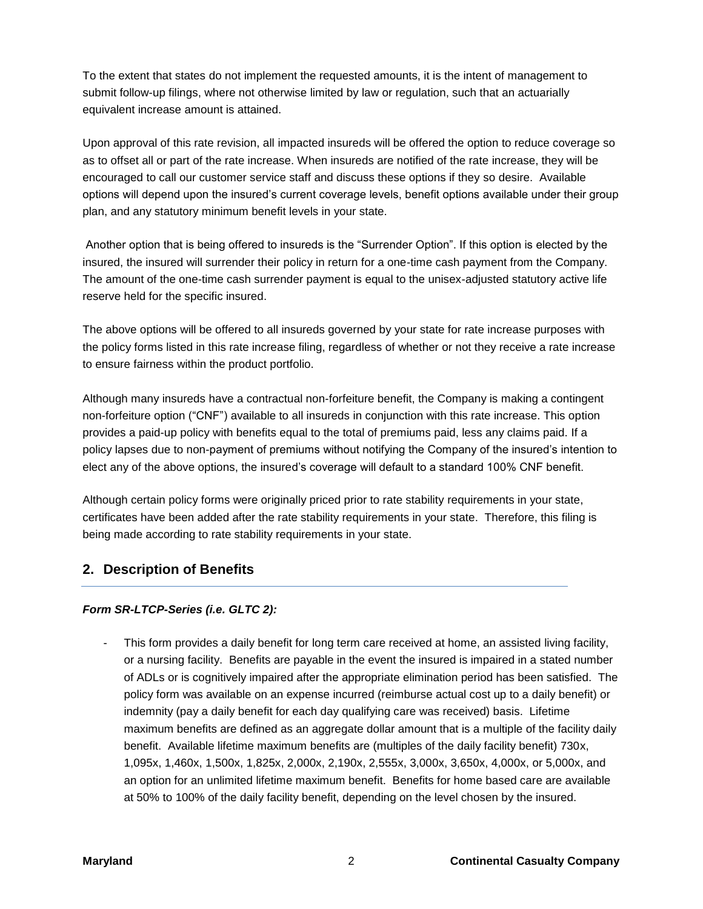To the extent that states do not implement the requested amounts, it is the intent of management to submit follow-up filings, where not otherwise limited by law or regulation, such that an actuarially equivalent increase amount is attained.

Upon approval of this rate revision, all impacted insureds will be offered the option to reduce coverage so as to offset all or part of the rate increase. When insureds are notified of the rate increase, they will be encouraged to call our customer service staff and discuss these options if they so desire. Available options will depend upon the insured's current coverage levels, benefit options available under their group plan, and any statutory minimum benefit levels in your state.

Another option that is being offered to insureds is the "Surrender Option". If this option is elected by the insured, the insured will surrender their policy in return for a one-time cash payment from the Company. The amount of the one-time cash surrender payment is equal to the unisex-adjusted statutory active life reserve held for the specific insured.

The above options will be offered to all insureds governed by your state for rate increase purposes with the policy forms listed in this rate increase filing, regardless of whether or not they receive a rate increase to ensure fairness within the product portfolio.

Although many insureds have a contractual non-forfeiture benefit, the Company is making a contingent non-forfeiture option ("CNF") available to all insureds in conjunction with this rate increase. This option provides a paid-up policy with benefits equal to the total of premiums paid, less any claims paid. If a policy lapses due to non-payment of premiums without notifying the Company of the insured's intention to elect any of the above options, the insured's coverage will default to a standard 100% CNF benefit.

Although certain policy forms were originally priced prior to rate stability requirements in your state, certificates have been added after the rate stability requirements in your state. Therefore, this filing is being made according to rate stability requirements in your state.

# **2. Description of Benefits**

# *Form SR-LTCP-Series (i.e. GLTC 2):*

This form provides a daily benefit for long term care received at home, an assisted living facility, or a nursing facility. Benefits are payable in the event the insured is impaired in a stated number of ADLs or is cognitively impaired after the appropriate elimination period has been satisfied. The policy form was available on an expense incurred (reimburse actual cost up to a daily benefit) or indemnity (pay a daily benefit for each day qualifying care was received) basis. Lifetime maximum benefits are defined as an aggregate dollar amount that is a multiple of the facility daily benefit. Available lifetime maximum benefits are (multiples of the daily facility benefit) 730x, 1,095x, 1,460x, 1,500x, 1,825x, 2,000x, 2,190x, 2,555x, 3,000x, 3,650x, 4,000x, or 5,000x, and an option for an unlimited lifetime maximum benefit. Benefits for home based care are available at 50% to 100% of the daily facility benefit, depending on the level chosen by the insured.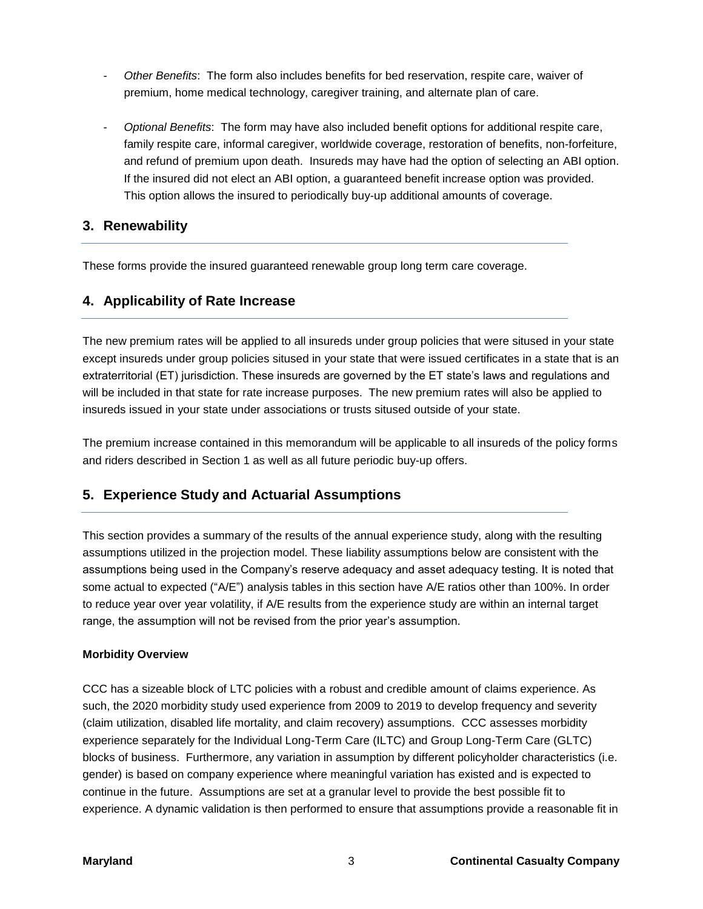- *Other Benefits*: The form also includes benefits for bed reservation, respite care, waiver of premium, home medical technology, caregiver training, and alternate plan of care.
- *Optional Benefits*: The form may have also included benefit options for additional respite care, family respite care, informal caregiver, worldwide coverage, restoration of benefits, non-forfeiture, and refund of premium upon death. Insureds may have had the option of selecting an ABI option. If the insured did not elect an ABI option, a guaranteed benefit increase option was provided. This option allows the insured to periodically buy-up additional amounts of coverage.

# **3. Renewability**

These forms provide the insured guaranteed renewable group long term care coverage.

# **4. Applicability of Rate Increase**

The new premium rates will be applied to all insureds under group policies that were sitused in your state except insureds under group policies sitused in your state that were issued certificates in a state that is an extraterritorial (ET) jurisdiction. These insureds are governed by the ET state's laws and regulations and will be included in that state for rate increase purposes. The new premium rates will also be applied to insureds issued in your state under associations or trusts sitused outside of your state.

The premium increase contained in this memorandum will be applicable to all insureds of the policy forms and riders described in Section 1 as well as all future periodic buy-up offers.

# **5. Experience Study and Actuarial Assumptions**

This section provides a summary of the results of the annual experience study, along with the resulting assumptions utilized in the projection model. These liability assumptions below are consistent with the assumptions being used in the Company's reserve adequacy and asset adequacy testing. It is noted that some actual to expected ("A/E") analysis tables in this section have A/E ratios other than 100%. In order to reduce year over year volatility, if A/E results from the experience study are within an internal target range, the assumption will not be revised from the prior year's assumption.

## **Morbidity Overview**

CCC has a sizeable block of LTC policies with a robust and credible amount of claims experience. As such, the 2020 morbidity study used experience from 2009 to 2019 to develop frequency and severity (claim utilization, disabled life mortality, and claim recovery) assumptions. CCC assesses morbidity experience separately for the Individual Long-Term Care (ILTC) and Group Long-Term Care (GLTC) blocks of business. Furthermore, any variation in assumption by different policyholder characteristics (i.e. gender) is based on company experience where meaningful variation has existed and is expected to continue in the future. Assumptions are set at a granular level to provide the best possible fit to experience. A dynamic validation is then performed to ensure that assumptions provide a reasonable fit in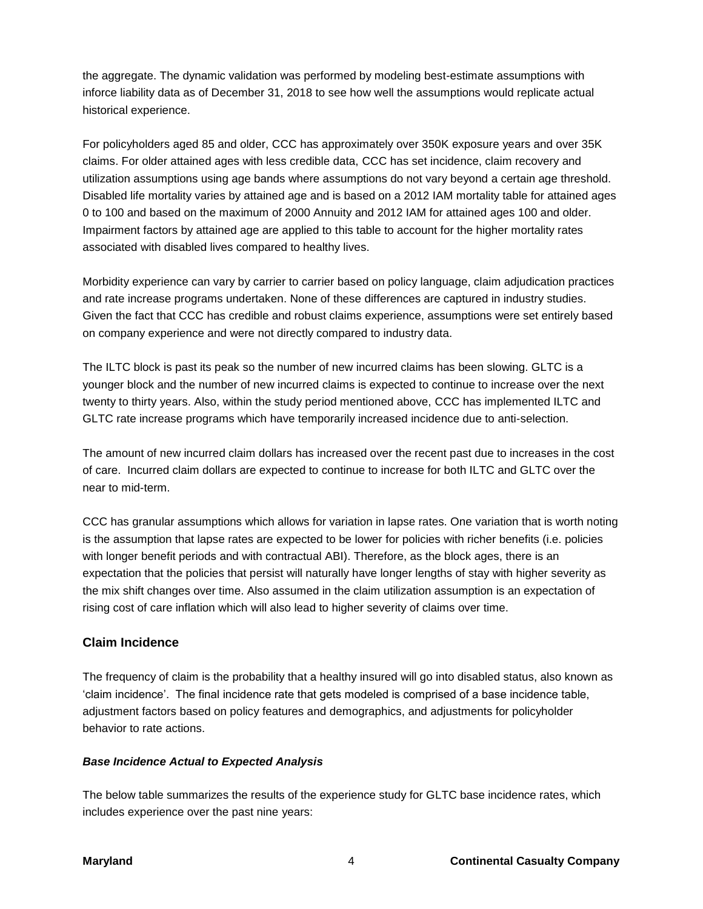the aggregate. The dynamic validation was performed by modeling best-estimate assumptions with inforce liability data as of December 31, 2018 to see how well the assumptions would replicate actual historical experience.

For policyholders aged 85 and older, CCC has approximately over 350K exposure years and over 35K claims. For older attained ages with less credible data, CCC has set incidence, claim recovery and utilization assumptions using age bands where assumptions do not vary beyond a certain age threshold. Disabled life mortality varies by attained age and is based on a 2012 IAM mortality table for attained ages 0 to 100 and based on the maximum of 2000 Annuity and 2012 IAM for attained ages 100 and older. Impairment factors by attained age are applied to this table to account for the higher mortality rates associated with disabled lives compared to healthy lives.

Morbidity experience can vary by carrier to carrier based on policy language, claim adjudication practices and rate increase programs undertaken. None of these differences are captured in industry studies. Given the fact that CCC has credible and robust claims experience, assumptions were set entirely based on company experience and were not directly compared to industry data.

The ILTC block is past its peak so the number of new incurred claims has been slowing. GLTC is a younger block and the number of new incurred claims is expected to continue to increase over the next twenty to thirty years. Also, within the study period mentioned above, CCC has implemented ILTC and GLTC rate increase programs which have temporarily increased incidence due to anti-selection.

The amount of new incurred claim dollars has increased over the recent past due to increases in the cost of care. Incurred claim dollars are expected to continue to increase for both ILTC and GLTC over the near to mid-term.

CCC has granular assumptions which allows for variation in lapse rates. One variation that is worth noting is the assumption that lapse rates are expected to be lower for policies with richer benefits (i.e. policies with longer benefit periods and with contractual ABI). Therefore, as the block ages, there is an expectation that the policies that persist will naturally have longer lengths of stay with higher severity as the mix shift changes over time. Also assumed in the claim utilization assumption is an expectation of rising cost of care inflation which will also lead to higher severity of claims over time.

# **Claim Incidence**

The frequency of claim is the probability that a healthy insured will go into disabled status, also known as 'claim incidence'. The final incidence rate that gets modeled is comprised of a base incidence table, adjustment factors based on policy features and demographics, and adjustments for policyholder behavior to rate actions.

## *Base Incidence Actual to Expected Analysis*

The below table summarizes the results of the experience study for GLTC base incidence rates, which includes experience over the past nine years: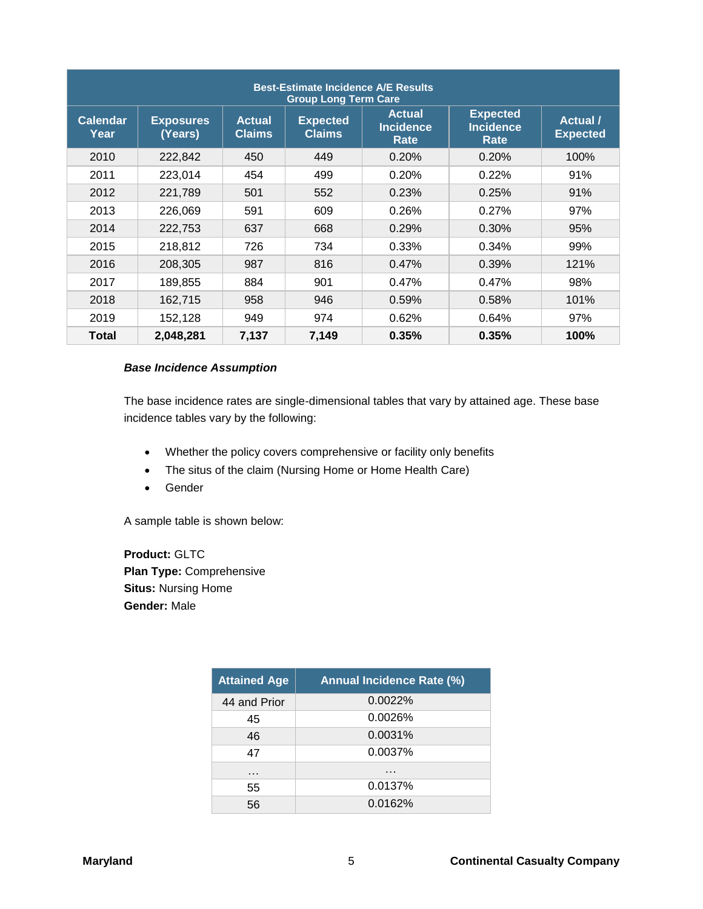| <b>Best-Estimate Incidence A/E Results</b><br><b>Group Long Term Care</b> |                             |                                |                                  |                                           |                                             |                                  |  |
|---------------------------------------------------------------------------|-----------------------------|--------------------------------|----------------------------------|-------------------------------------------|---------------------------------------------|----------------------------------|--|
| <b>Calendar</b><br>Year                                                   | <b>Exposures</b><br>(Years) | <b>Actual</b><br><b>Claims</b> | <b>Expected</b><br><b>Claims</b> | <b>Actual</b><br><b>Incidence</b><br>Rate | <b>Expected</b><br><b>Incidence</b><br>Rate | <b>Actual</b><br><b>Expected</b> |  |
| 2010                                                                      | 222,842                     | 450                            | 449                              | 0.20%                                     | 0.20%                                       | 100%                             |  |
| 2011                                                                      | 223,014                     | 454                            | 499                              | 0.20%                                     | 0.22%                                       | 91%                              |  |
| 2012                                                                      | 221,789                     | 501                            | 552                              | 0.23%                                     | 0.25%                                       | 91%                              |  |
| 2013                                                                      | 226,069                     | 591                            | 609                              | 0.26%                                     | 0.27%                                       | 97%                              |  |
| 2014                                                                      | 222,753                     | 637                            | 668                              | 0.29%                                     | 0.30%                                       | 95%                              |  |
| 2015                                                                      | 218,812                     | 726                            | 734                              | 0.33%                                     | 0.34%                                       | 99%                              |  |
| 2016                                                                      | 208,305                     | 987                            | 816                              | 0.47%                                     | 0.39%                                       | 121%                             |  |
| 2017                                                                      | 189,855                     | 884                            | 901                              | 0.47%                                     | 0.47%                                       | 98%                              |  |
| 2018                                                                      | 162,715                     | 958                            | 946                              | 0.59%                                     | 0.58%                                       | 101%                             |  |
| 2019                                                                      | 152,128                     | 949                            | 974                              | 0.62%                                     | 0.64%                                       | 97%                              |  |
| Total                                                                     | 2,048,281                   | 7,137                          | 7,149                            | 0.35%                                     | 0.35%                                       | 100%                             |  |

### *Base Incidence Assumption*

The base incidence rates are single-dimensional tables that vary by attained age. These base incidence tables vary by the following:

- Whether the policy covers comprehensive or facility only benefits
- The situs of the claim (Nursing Home or Home Health Care)
- Gender

A sample table is shown below:

**Product:** GLTC **Plan Type:** Comprehensive **Situs:** Nursing Home **Gender:** Male

| <b>Attained Age</b> | <b>Annual Incidence Rate (%)</b> |
|---------------------|----------------------------------|
| 44 and Prior        | 0.0022%                          |
| 45                  | 0.0026%                          |
| 46                  | 0.0031%                          |
| 47                  | 0.0037%                          |
| $\cdots$            | $\sim$ $\sim$ $\sim$             |
| 55                  | 0.0137%                          |
| 56                  | 0.0162%                          |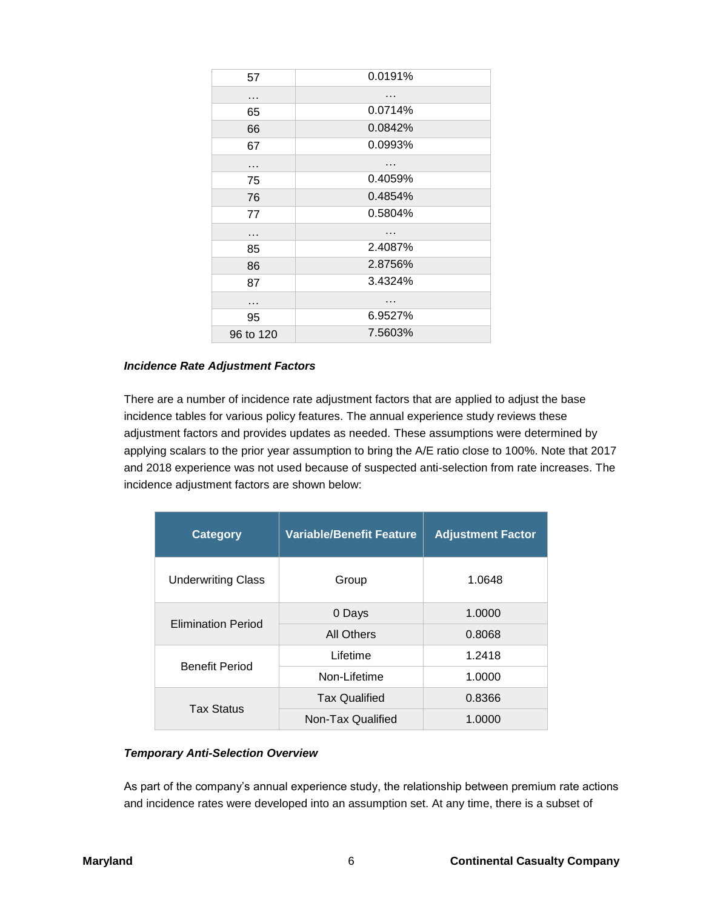| 57        | 0.0191% |
|-----------|---------|
| .         | .       |
| 65        | 0.0714% |
| 66        | 0.0842% |
| 67        | 0.0993% |
| .         | .       |
| 75        | 0.4059% |
| 76        | 0.4854% |
| 77        | 0.5804% |
| .         | .       |
| 85        | 2.4087% |
| 86        | 2.8756% |
| 87        | 3.4324% |
| .         | .       |
| 95        | 6.9527% |
| 96 to 120 | 7.5603% |

#### *Incidence Rate Adjustment Factors*

There are a number of incidence rate adjustment factors that are applied to adjust the base incidence tables for various policy features. The annual experience study reviews these adjustment factors and provides updates as needed. These assumptions were determined by applying scalars to the prior year assumption to bring the A/E ratio close to 100%. Note that 2017 and 2018 experience was not used because of suspected anti-selection from rate increases. The incidence adjustment factors are shown below:

| <b>Category</b>           | <b>Variable/Benefit Feature</b> | <b>Adjustment Factor</b> |
|---------------------------|---------------------------------|--------------------------|
| <b>Underwriting Class</b> | Group                           | 1.0648                   |
| <b>Elimination Period</b> | 0 Days                          | 1.0000                   |
|                           | All Others                      | 0.8068                   |
| <b>Benefit Period</b>     | Lifetime                        | 1.2418                   |
|                           | Non-Lifetime                    | 1.0000                   |
| <b>Tax Status</b>         | <b>Tax Qualified</b>            | 0.8366                   |
|                           | Non-Tax Qualified               | 1.0000                   |

## *Temporary Anti-Selection Overview*

As part of the company's annual experience study, the relationship between premium rate actions and incidence rates were developed into an assumption set. At any time, there is a subset of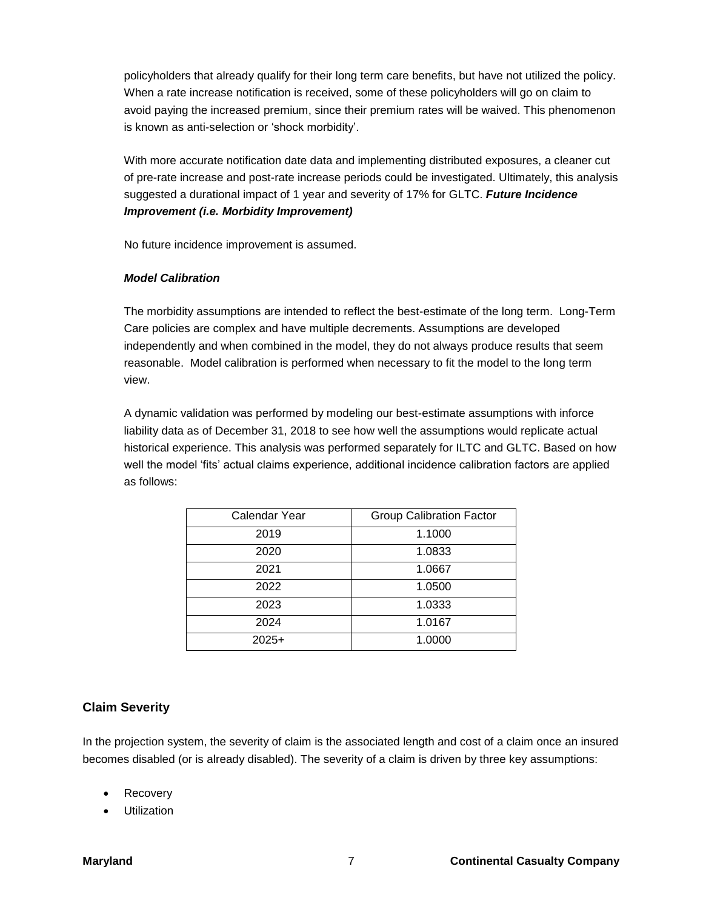policyholders that already qualify for their long term care benefits, but have not utilized the policy. When a rate increase notification is received, some of these policyholders will go on claim to avoid paying the increased premium, since their premium rates will be waived. This phenomenon is known as anti-selection or 'shock morbidity'.

With more accurate notification date data and implementing distributed exposures, a cleaner cut of pre-rate increase and post-rate increase periods could be investigated. Ultimately, this analysis suggested a durational impact of 1 year and severity of 17% for GLTC. *Future Incidence Improvement (i.e. Morbidity Improvement)*

No future incidence improvement is assumed.

### *Model Calibration*

The morbidity assumptions are intended to reflect the best-estimate of the long term. Long-Term Care policies are complex and have multiple decrements. Assumptions are developed independently and when combined in the model, they do not always produce results that seem reasonable. Model calibration is performed when necessary to fit the model to the long term view.

A dynamic validation was performed by modeling our best-estimate assumptions with inforce liability data as of December 31, 2018 to see how well the assumptions would replicate actual historical experience. This analysis was performed separately for ILTC and GLTC. Based on how well the model 'fits' actual claims experience, additional incidence calibration factors are applied as follows:

| Calendar Year | <b>Group Calibration Factor</b> |
|---------------|---------------------------------|
| 2019          | 1.1000                          |
| 2020          | 1.0833                          |
| 2021          | 1.0667                          |
| 2022          | 1.0500                          |
| 2023          | 1.0333                          |
| 2024          | 1.0167                          |
| $2025+$       | 1.0000                          |

## **Claim Severity**

In the projection system, the severity of claim is the associated length and cost of a claim once an insured becomes disabled (or is already disabled). The severity of a claim is driven by three key assumptions:

- Recovery
- Utilization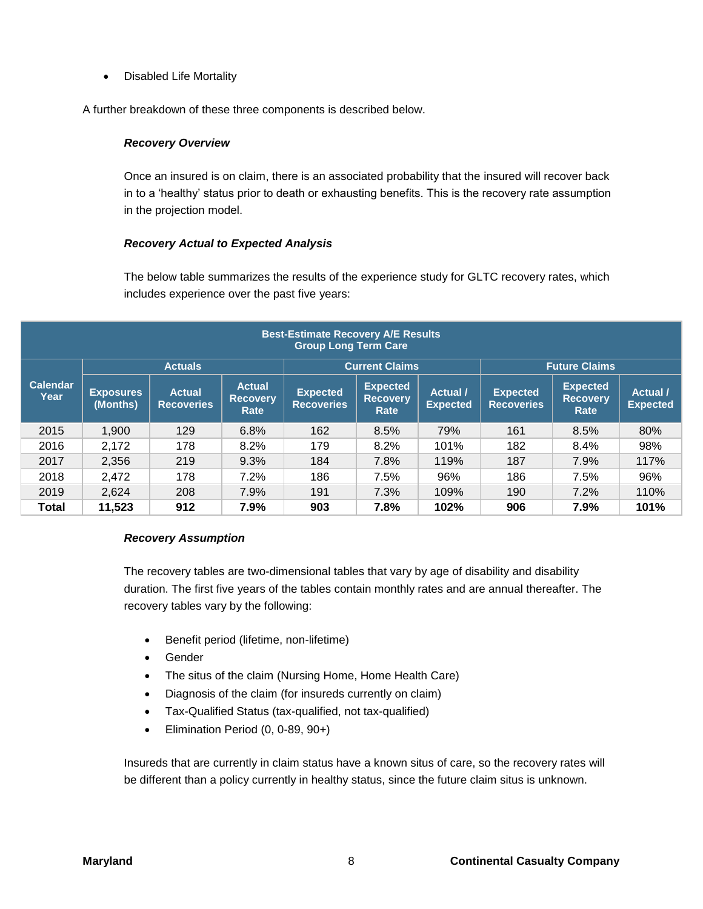Disabled Life Mortality

A further breakdown of these three components is described below.

## *Recovery Overview*

Once an insured is on claim, there is an associated probability that the insured will recover back in to a 'healthy' status prior to death or exhausting benefits. This is the recovery rate assumption in the projection model.

## *Recovery Actual to Expected Analysis*

The below table summarizes the results of the experience study for GLTC recovery rates, which includes experience over the past five years:

| <b>Best-Estimate Recovery A/E Results</b><br><b>Group Long Term Care</b> |                              |                                    |                                          |                                      |                                            |                                  |                                      |                                            |                             |
|--------------------------------------------------------------------------|------------------------------|------------------------------------|------------------------------------------|--------------------------------------|--------------------------------------------|----------------------------------|--------------------------------------|--------------------------------------------|-----------------------------|
|                                                                          |                              | <b>Actuals</b>                     |                                          | <b>Current Claims</b>                |                                            |                                  | <b>Future Claims</b>                 |                                            |                             |
| <b>Calendar</b><br>Year                                                  | <b>Exposures</b><br>(Months) | <b>Actual</b><br><b>Recoveries</b> | <b>Actual</b><br><b>Recovery</b><br>Rate | <b>Expected</b><br><b>Recoveries</b> | <b>Expected</b><br><b>Recovery</b><br>Rate | <b>Actual</b><br><b>Expected</b> | <b>Expected</b><br><b>Recoveries</b> | <b>Expected</b><br><b>Recovery</b><br>Rate | Actual /<br><b>Expected</b> |
| 2015                                                                     | 1,900                        | 129                                | 6.8%                                     | 162                                  | 8.5%                                       | 79%                              | 161                                  | 8.5%                                       | 80%                         |
| 2016                                                                     | 2,172                        | 178                                | 8.2%                                     | 179                                  | 8.2%                                       | 101%                             | 182                                  | 8.4%                                       | 98%                         |
| 2017                                                                     | 2,356                        | 219                                | 9.3%                                     | 184                                  | 7.8%                                       | 119%                             | 187                                  | 7.9%                                       | 117%                        |
| 2018                                                                     | 2,472                        | 178                                | 7.2%                                     | 186                                  | 7.5%                                       | 96%                              | 186                                  | 7.5%                                       | 96%                         |
| 2019                                                                     | 2,624                        | 208                                | 7.9%                                     | 191                                  | 7.3%                                       | 109%                             | 190                                  | 7.2%                                       | 110%                        |
| <b>Total</b>                                                             | 11,523                       | 912                                | 7.9%                                     | 903                                  | 7.8%                                       | 102%                             | 906                                  | 7.9%                                       | 101%                        |

#### *Recovery Assumption*

The recovery tables are two-dimensional tables that vary by age of disability and disability duration. The first five years of the tables contain monthly rates and are annual thereafter. The recovery tables vary by the following:

- **•** Benefit period (lifetime, non-lifetime)
- Gender
- The situs of the claim (Nursing Home, Home Health Care)
- Diagnosis of the claim (for insureds currently on claim)
- Tax-Qualified Status (tax-qualified, not tax-qualified)
- **Elimination Period (0, 0-89, 90+)**

Insureds that are currently in claim status have a known situs of care, so the recovery rates will be different than a policy currently in healthy status, since the future claim situs is unknown.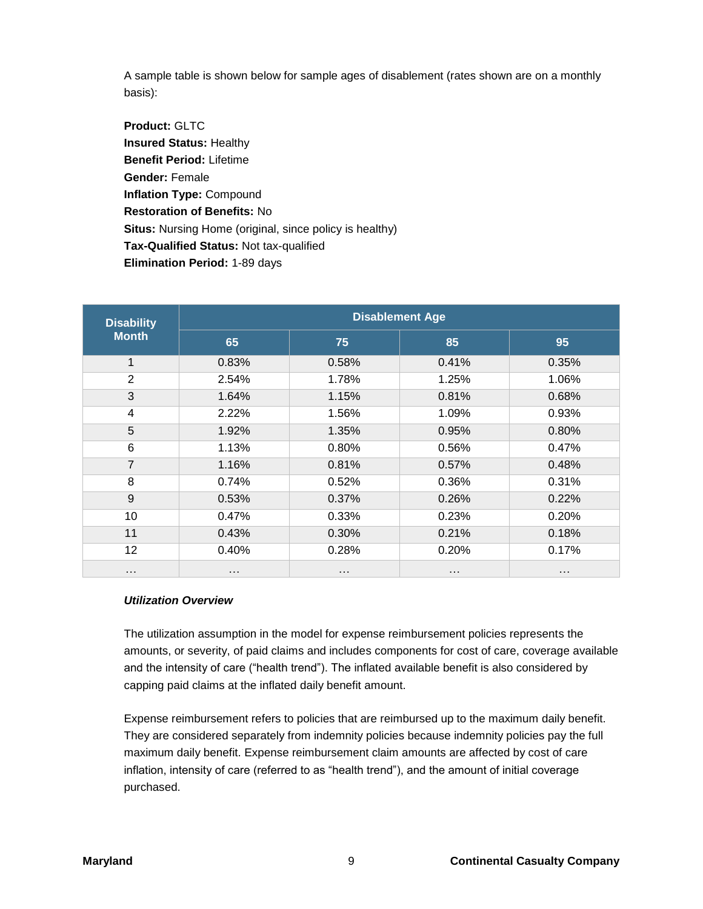A sample table is shown below for sample ages of disablement (rates shown are on a monthly basis):

**Product:** GLTC **Insured Status:** Healthy **Benefit Period:** Lifetime **Gender:** Female **Inflation Type:** Compound **Restoration of Benefits:** No **Situs:** Nursing Home (original, since policy is healthy) **Tax-Qualified Status:** Not tax-qualified **Elimination Period:** 1-89 days

| <b>Disability</b> | <b>Disablement Age</b> |          |          |          |  |  |  |  |
|-------------------|------------------------|----------|----------|----------|--|--|--|--|
| <b>Month</b>      | 65                     | 75       | 85       | 95       |  |  |  |  |
| 1                 | 0.83%                  | 0.58%    | 0.41%    | 0.35%    |  |  |  |  |
| 2                 | 2.54%                  | 1.78%    | 1.25%    | 1.06%    |  |  |  |  |
| 3                 | 1.64%                  | 1.15%    | 0.81%    | 0.68%    |  |  |  |  |
| $\overline{4}$    | 2.22%                  | 1.56%    | 1.09%    | 0.93%    |  |  |  |  |
| 5                 | 1.92%                  | 1.35%    | 0.95%    | 0.80%    |  |  |  |  |
| 6                 | 1.13%                  | 0.80%    | 0.56%    | 0.47%    |  |  |  |  |
| $\overline{7}$    | 1.16%                  | 0.81%    | 0.57%    | 0.48%    |  |  |  |  |
| 8                 | 0.74%                  | 0.52%    | 0.36%    | 0.31%    |  |  |  |  |
| $9\,$             | 0.53%                  | 0.37%    | 0.26%    | 0.22%    |  |  |  |  |
| 10                | 0.47%                  | 0.33%    | 0.23%    | 0.20%    |  |  |  |  |
| 11                | 0.43%                  | 0.30%    | 0.21%    | 0.18%    |  |  |  |  |
| 12                | 0.40%                  | 0.28%    | 0.20%    | 0.17%    |  |  |  |  |
| $\cdots$          | $\cdots$               | $\cdots$ | $\cdots$ | $\cdots$ |  |  |  |  |

## *Utilization Overview*

The utilization assumption in the model for expense reimbursement policies represents the amounts, or severity, of paid claims and includes components for cost of care, coverage available and the intensity of care ("health trend"). The inflated available benefit is also considered by capping paid claims at the inflated daily benefit amount.

Expense reimbursement refers to policies that are reimbursed up to the maximum daily benefit. They are considered separately from indemnity policies because indemnity policies pay the full maximum daily benefit. Expense reimbursement claim amounts are affected by cost of care inflation, intensity of care (referred to as "health trend"), and the amount of initial coverage purchased.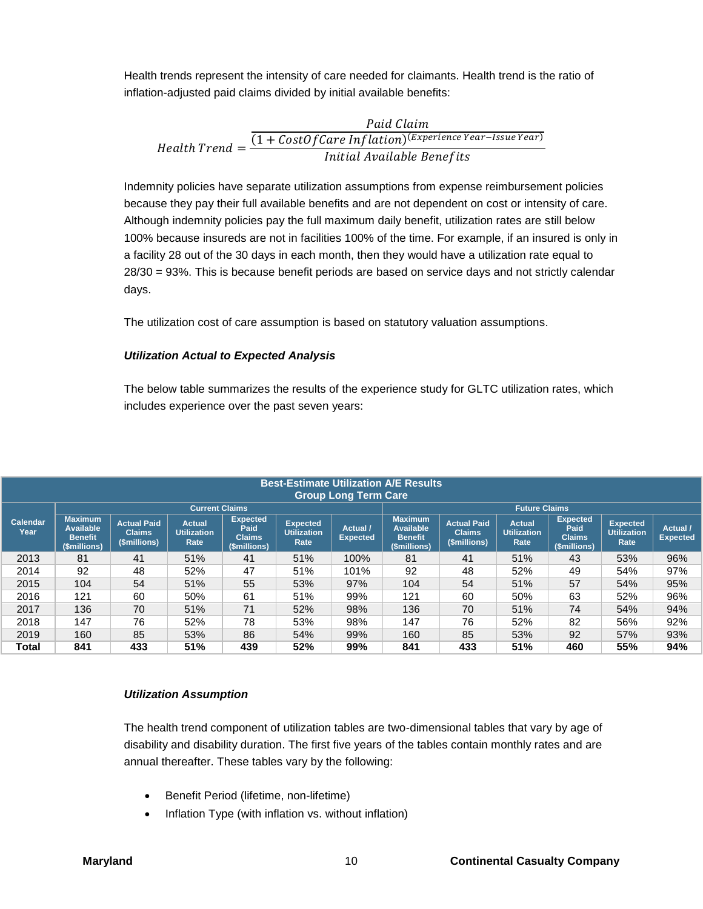Health trends represent the intensity of care needed for claimants. Health trend is the ratio of inflation-adjusted paid claims divided by initial available benefits:

**Paulen**

\n*Health Trend* = 
$$
\frac{(1 + CostOfCare\ Inflation)^{(Experience\ Year - Issue\ Year)}}{Initial\ Available\ Benefits}
$$

Indemnity policies have separate utilization assumptions from expense reimbursement policies because they pay their full available benefits and are not dependent on cost or intensity of care. Although indemnity policies pay the full maximum daily benefit, utilization rates are still below 100% because insureds are not in facilities 100% of the time. For example, if an insured is only in a facility 28 out of the 30 days in each month, then they would have a utilization rate equal to 28/30 = 93%. This is because benefit periods are based on service days and not strictly calendar days.

The utilization cost of care assumption is based on statutory valuation assumptions.

#### *Utilization Actual to Expected Analysis*

The below table summarizes the results of the experience study for GLTC utilization rates, which includes experience over the past seven years:

|                  | <b>Best-Estimate Utilization A/E Results</b><br><b>Group Long Term Care</b> |                                                     |                                             |                                                          |                                               |                             |                                                                      |                                                     |                                             |                                                          |                                               |                             |
|------------------|-----------------------------------------------------------------------------|-----------------------------------------------------|---------------------------------------------|----------------------------------------------------------|-----------------------------------------------|-----------------------------|----------------------------------------------------------------------|-----------------------------------------------------|---------------------------------------------|----------------------------------------------------------|-----------------------------------------------|-----------------------------|
|                  |                                                                             |                                                     | <b>Current Claims</b>                       |                                                          |                                               |                             |                                                                      |                                                     | <b>Future Claims</b>                        |                                                          |                                               |                             |
| Calendar<br>Year | <b>Maximum</b><br><b>Available</b><br><b>Benefit</b><br>(\$millions)        | <b>Actual Paid</b><br><b>Claims</b><br>(\$millions) | <b>Actual</b><br><b>Utilization</b><br>Rate | <b>Expected</b><br>Paid<br><b>Claims</b><br>(\$millions) | <b>Expected</b><br><b>Utilization</b><br>Rate | Actual /<br><b>Expected</b> | <b>Maximum</b><br><b>Available</b><br><b>Benefit</b><br>(\$millions) | <b>Actual Paid</b><br><b>Claims</b><br>(\$millions) | <b>Actual</b><br><b>Utilization</b><br>Rate | <b>Expected</b><br>Paid<br><b>Claims</b><br>(\$millions) | <b>Expected</b><br><b>Utilization</b><br>Rate | Actual /<br><b>Expected</b> |
| 2013             | 81                                                                          | 41                                                  | 51%                                         | 41                                                       | 51%                                           | 100%                        | 81                                                                   | 41                                                  | 51%                                         | 43                                                       | 53%                                           | 96%                         |
| 2014             | 92                                                                          | 48                                                  | 52%                                         | 47                                                       | 51%                                           | 101%                        | 92                                                                   | 48                                                  | 52%                                         | 49                                                       | 54%                                           | 97%                         |
| 2015             | 104                                                                         | 54                                                  | 51%                                         | 55                                                       | 53%                                           | 97%                         | 104                                                                  | 54                                                  | 51%                                         | 57                                                       | 54%                                           | 95%                         |
| 2016             | 121                                                                         | 60                                                  | 50%                                         | 61                                                       | 51%                                           | 99%                         | 121                                                                  | 60                                                  | 50%                                         | 63                                                       | 52%                                           | 96%                         |
| 2017             | 136                                                                         | 70                                                  | 51%                                         | 71                                                       | 52%                                           | 98%                         | 136                                                                  | 70                                                  | 51%                                         | 74                                                       | 54%                                           | 94%                         |
| 2018             | 147                                                                         | 76                                                  | 52%                                         | 78                                                       | 53%                                           | 98%                         | 147                                                                  | 76                                                  | 52%                                         | 82                                                       | 56%                                           | 92%                         |
| 2019             | 160                                                                         | 85                                                  | 53%                                         | 86                                                       | 54%                                           | 99%                         | 160                                                                  | 85                                                  | 53%                                         | 92                                                       | 57%                                           | 93%                         |
| Total            | 841                                                                         | 433                                                 | 51%                                         | 439                                                      | 52%                                           | 99%                         | 841                                                                  | 433                                                 | 51%                                         | 460                                                      | 55%                                           | 94%                         |

#### *Utilization Assumption*

The health trend component of utilization tables are two-dimensional tables that vary by age of disability and disability duration. The first five years of the tables contain monthly rates and are annual thereafter. These tables vary by the following:

- Benefit Period (lifetime, non-lifetime)
- Inflation Type (with inflation vs. without inflation)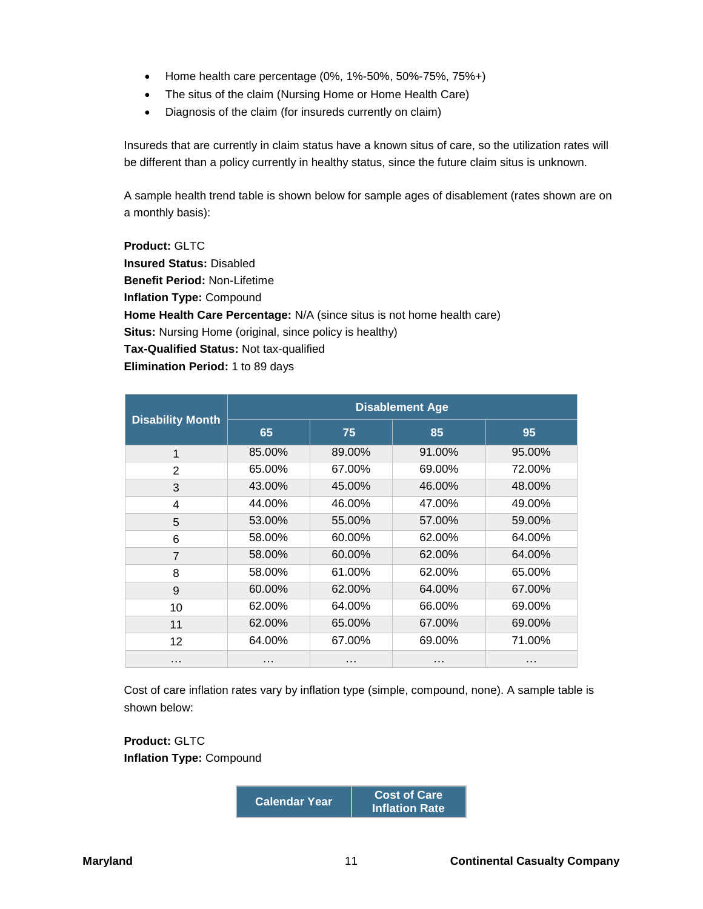- Home health care percentage  $(0\%, 1\% -50\%, 50\% -75\%, 75\% +)$
- The situs of the claim (Nursing Home or Home Health Care)
- Diagnosis of the claim (for insureds currently on claim)

Insureds that are currently in claim status have a known situs of care, so the utilization rates will be different than a policy currently in healthy status, since the future claim situs is unknown.

A sample health trend table is shown below for sample ages of disablement (rates shown are on a monthly basis):

**Product:** GLTC **Insured Status:** Disabled **Benefit Period:** Non-Lifetime **Inflation Type:** Compound **Home Health Care Percentage:** N/A (since situs is not home health care) **Situs:** Nursing Home (original, since policy is healthy) **Tax-Qualified Status:** Not tax-qualified **Elimination Period:** 1 to 89 days

|                         | <b>Disablement Age</b> |        |        |        |  |  |  |  |
|-------------------------|------------------------|--------|--------|--------|--|--|--|--|
| <b>Disability Month</b> | 65                     | 75     | 85     | 95     |  |  |  |  |
| 1                       | 85.00%                 | 89.00% | 91.00% | 95.00% |  |  |  |  |
| 2                       | 65.00%                 | 67.00% | 69.00% | 72.00% |  |  |  |  |
| 3                       | 43.00%                 | 45.00% | 46.00% | 48.00% |  |  |  |  |
| 4                       | 44.00%                 | 46.00% | 47.00% | 49.00% |  |  |  |  |
| 5                       | 53.00%                 | 55.00% | 57.00% | 59.00% |  |  |  |  |
| 6                       | 58.00%                 | 60.00% | 62.00% | 64.00% |  |  |  |  |
| $\overline{7}$          | 58.00%                 | 60.00% | 62.00% | 64.00% |  |  |  |  |
| 8                       | 58.00%                 | 61.00% | 62.00% | 65.00% |  |  |  |  |
| 9                       | 60.00%                 | 62.00% | 64.00% | 67.00% |  |  |  |  |
| 10                      | 62.00%                 | 64.00% | 66.00% | 69.00% |  |  |  |  |
| 11                      | 62.00%                 | 65.00% | 67.00% | 69.00% |  |  |  |  |
| 12                      | 64.00%                 | 67.00% | 69.00% | 71.00% |  |  |  |  |
| .                       |                        | .      | .      |        |  |  |  |  |

Cost of care inflation rates vary by inflation type (simple, compound, none). A sample table is shown below:

**Product:** GLTC **Inflation Type:** Compound

> **Calendar Year Cost of Care Inflation Rate**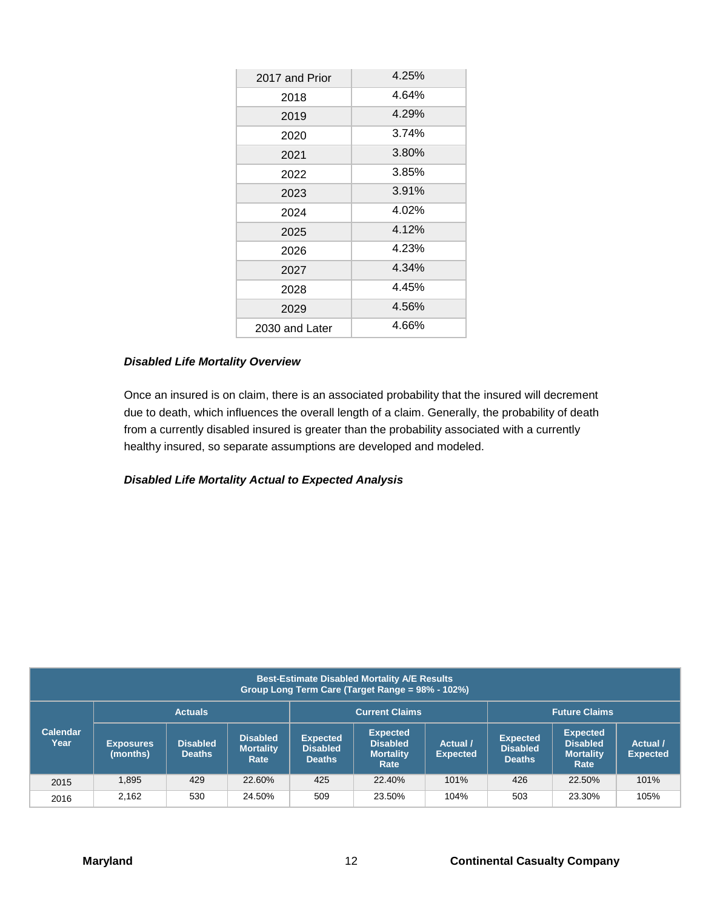| 2017 and Prior | 4.25% |
|----------------|-------|
| 2018           | 4.64% |
| 2019           | 4.29% |
| 2020           | 3.74% |
| 2021           | 3.80% |
| 2022           | 3.85% |
| 2023           | 3.91% |
| 2024           | 4.02% |
| 2025           | 4.12% |
| 2026           | 4.23% |
| 2027           | 4.34% |
| 2028           | 4.45% |
| 2029           | 4.56% |
| 2030 and Later | 4.66% |

#### *Disabled Life Mortality Overview*

Once an insured is on claim, there is an associated probability that the insured will decrement due to death, which influences the overall length of a claim. Generally, the probability of death from a currently disabled insured is greater than the probability associated with a currently healthy insured, so separate assumptions are developed and modeled.

## *Disabled Life Mortality Actual to Expected Analysis*

| <b>Best-Estimate Disabled Mortality A/E Results</b><br>Group Long Term Care (Target Range = 98% - 102%) |                              |                                  |                                             |                                                     |                                                                |                             |                                                     |                                                                |                             |
|---------------------------------------------------------------------------------------------------------|------------------------------|----------------------------------|---------------------------------------------|-----------------------------------------------------|----------------------------------------------------------------|-----------------------------|-----------------------------------------------------|----------------------------------------------------------------|-----------------------------|
|                                                                                                         |                              | <b>Actuals</b>                   |                                             |                                                     | <b>Current Claims</b>                                          |                             |                                                     | <b>Future Claims</b>                                           |                             |
| <b>Calendar</b><br>Year                                                                                 | <b>Exposures</b><br>(months) | <b>Disabled</b><br><b>Deaths</b> | <b>Disabled</b><br><b>Mortality</b><br>Rate | <b>Expected</b><br><b>Disabled</b><br><b>Deaths</b> | <b>Expected</b><br><b>Disabled</b><br><b>Mortality</b><br>Rate | Actual /<br><b>Expected</b> | <b>Expected</b><br><b>Disabled</b><br><b>Deaths</b> | <b>Expected</b><br><b>Disabled</b><br><b>Mortality</b><br>Rate | Actual /<br><b>Expected</b> |
| 2015                                                                                                    | 1.895                        | 429                              | 22.60%                                      | 425                                                 | 22.40%                                                         | 101%                        | 426                                                 | 22.50%                                                         | 101%                        |
| 2016                                                                                                    | 2.162                        | 530                              | 24.50%                                      | 509                                                 | 23.50%                                                         | 104%                        | 503                                                 | 23.30%                                                         | 105%                        |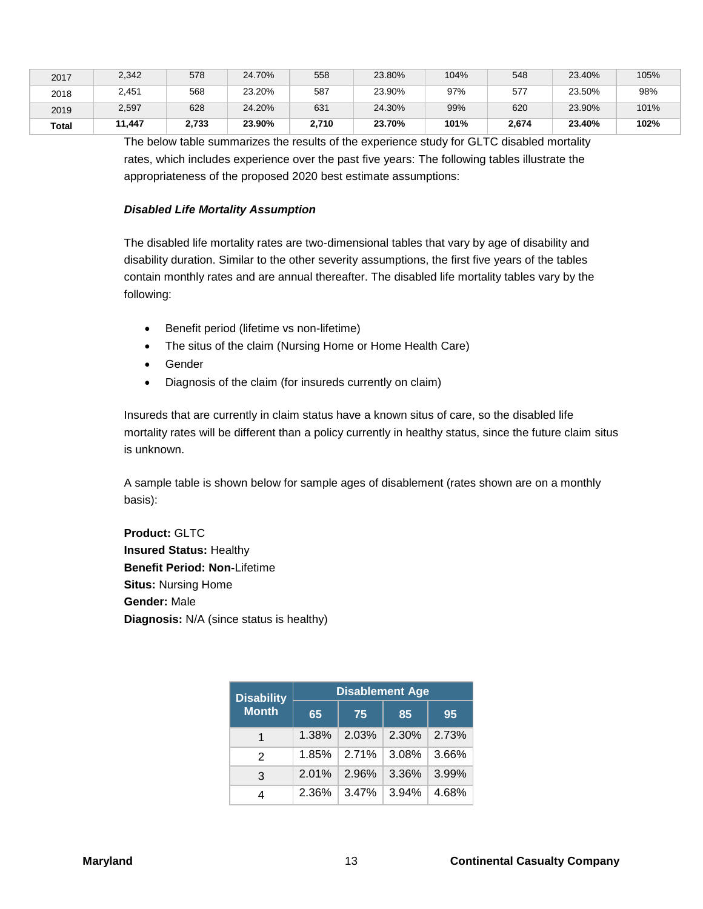| 2017  | 2,342  | 578   | 24.70% | 558   | 23.80% | 104% | 548   | 23.40% | 105% |
|-------|--------|-------|--------|-------|--------|------|-------|--------|------|
| 2018  | 2,451  | 568   | 23.20% | 587   | 23.90% | 97%  | 577   | 23.50% | 98%  |
| 2019  | 2,597  | 628   | 24.20% | 631   | 24.30% | 99%  | 620   | 23.90% | 101% |
| Total | 11.447 | 2,733 | 23.90% | 2,710 | 23.70% | 101% | 2,674 | 23.40% | 102% |

The below table summarizes the results of the experience study for GLTC disabled mortality rates, which includes experience over the past five years: The following tables illustrate the appropriateness of the proposed 2020 best estimate assumptions:

#### *Disabled Life Mortality Assumption*

The disabled life mortality rates are two-dimensional tables that vary by age of disability and disability duration. Similar to the other severity assumptions, the first five years of the tables contain monthly rates and are annual thereafter. The disabled life mortality tables vary by the following:

- Benefit period (lifetime vs non-lifetime)
- The situs of the claim (Nursing Home or Home Health Care)
- Gender
- Diagnosis of the claim (for insureds currently on claim)

Insureds that are currently in claim status have a known situs of care, so the disabled life mortality rates will be different than a policy currently in healthy status, since the future claim situs is unknown.

A sample table is shown below for sample ages of disablement (rates shown are on a monthly basis):

**Product:** GLTC **Insured Status:** Healthy **Benefit Period: Non-**Lifetime **Situs:** Nursing Home **Gender:** Male **Diagnosis:** N/A (since status is healthy)

| <b>Disability</b> | <b>Disablement Age</b> |       |       |       |  |  |  |  |
|-------------------|------------------------|-------|-------|-------|--|--|--|--|
| <b>Month</b>      | 65                     | 75    | 85    | 95    |  |  |  |  |
|                   | 1.38%                  | 2.03% | 2.30% | 2.73% |  |  |  |  |
| 2                 | 1.85%                  | 2.71% | 3.08% | 3.66% |  |  |  |  |
| 3                 | 2.01%                  | 2.96% | 3.36% | 3.99% |  |  |  |  |
| 4                 | 2.36%                  | 3.47% | 3.94% | 4.68% |  |  |  |  |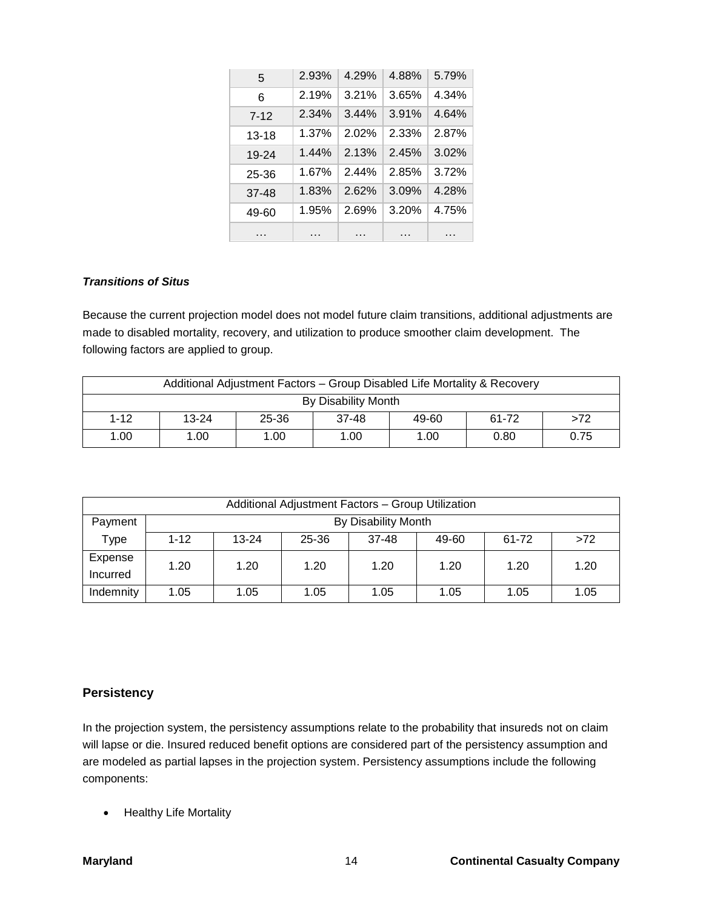| 5         | 2.93% | 4.29% | 4.88% | 5.79% |
|-----------|-------|-------|-------|-------|
| 6         | 2.19% | 3.21% | 3.65% | 4.34% |
| $7-12$    | 2.34% | 3.44% | 3.91% | 4.64% |
| $13 - 18$ | 1.37% | 2.02% | 2.33% | 2.87% |
| 19-24     | 1.44% | 2.13% | 2.45% | 3.02% |
| 25-36     | 1.67% | 2.44% | 2.85% | 3.72% |
| $37-48$   | 1.83% | 2.62% | 3.09% | 4.28% |
| 49-60     | 1.95% | 2.69% | 3.20% | 4.75% |
| .         | .     | .     | .     | .     |

#### *Transitions of Situs*

Because the current projection model does not model future claim transitions, additional adjustments are made to disabled mortality, recovery, and utilization to produce smoother claim development. The following factors are applied to group.

| Additional Adjustment Factors - Group Disabled Life Mortality & Recovery |                     |       |       |       |       |      |  |
|--------------------------------------------------------------------------|---------------------|-------|-------|-------|-------|------|--|
|                                                                          | By Disability Month |       |       |       |       |      |  |
| $1 - 12$                                                                 | $13 - 24$           | 25-36 | 37-48 | 49-60 | 61-72 | >72  |  |
| 1.00                                                                     | 1.00                | 1.00  | 1.00  | 1.00  | 0.80  | 0.75 |  |

| Additional Adjustment Factors - Group Utilization |          |                     |       |         |       |       |      |  |
|---------------------------------------------------|----------|---------------------|-------|---------|-------|-------|------|--|
| Payment                                           |          | By Disability Month |       |         |       |       |      |  |
| Type                                              | $1 - 12$ | $13 - 24$           | 25-36 | $37-48$ | 49-60 | 61-72 | >72  |  |
| Expense                                           | 1.20     | 1.20                | 1.20  | 1.20    | 1.20  | 1.20  | 1.20 |  |
| Incurred                                          |          |                     |       |         |       |       |      |  |
| Indemnity                                         | 1.05     | 1.05                | 1.05  | 1.05    | 1.05  | 1.05  | 1.05 |  |

## **Persistency**

In the projection system, the persistency assumptions relate to the probability that insureds not on claim will lapse or die. Insured reduced benefit options are considered part of the persistency assumption and are modeled as partial lapses in the projection system. Persistency assumptions include the following components:

• Healthy Life Mortality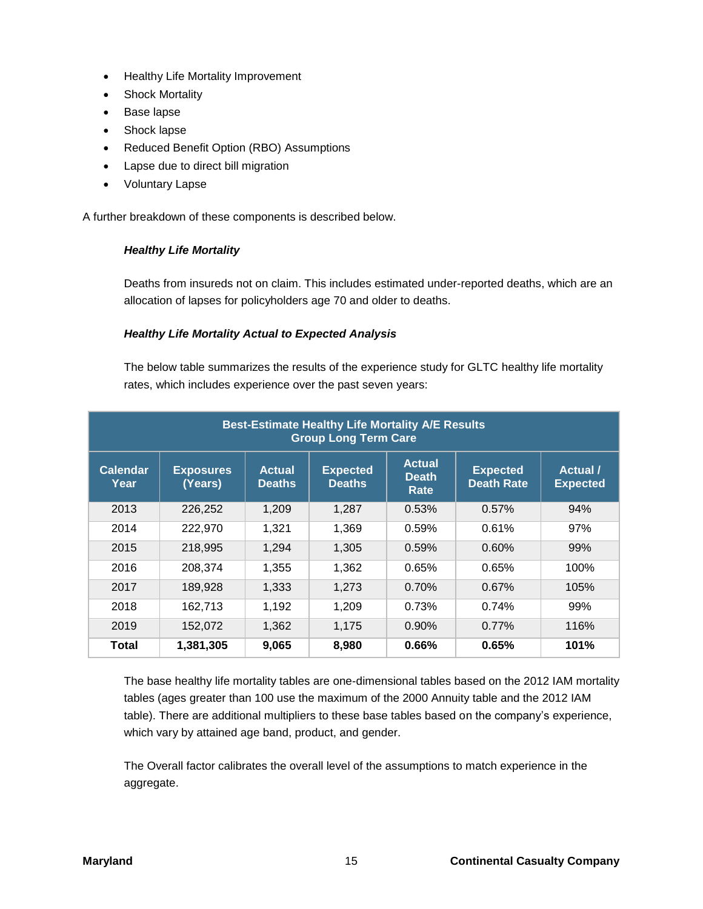- Healthy Life Mortality Improvement
- Shock Mortality
- Base lapse
- Shock lapse
- Reduced Benefit Option (RBO) Assumptions
- Lapse due to direct bill migration
- Voluntary Lapse

A further breakdown of these components is described below.

## *Healthy Life Mortality*

Deaths from insureds not on claim. This includes estimated under-reported deaths, which are an allocation of lapses for policyholders age 70 and older to deaths.

#### *Healthy Life Mortality Actual to Expected Analysis*

The below table summarizes the results of the experience study for GLTC healthy life mortality rates, which includes experience over the past seven years:

|                         | <b>Best-Estimate Healthy Life Mortality A/E Results</b><br><b>Group Long Term Care</b> |                                |                                  |                                       |                                      |                             |  |  |
|-------------------------|----------------------------------------------------------------------------------------|--------------------------------|----------------------------------|---------------------------------------|--------------------------------------|-----------------------------|--|--|
| <b>Calendar</b><br>Year | <b>Exposures</b><br>(Years)                                                            | <b>Actual</b><br><b>Deaths</b> | <b>Expected</b><br><b>Deaths</b> | <b>Actual</b><br><b>Death</b><br>Rate | <b>Expected</b><br><b>Death Rate</b> | Actual /<br><b>Expected</b> |  |  |
| 2013                    | 226,252                                                                                | 1,209                          | 1,287                            | 0.53%                                 | 0.57%                                | 94%                         |  |  |
| 2014                    | 222,970                                                                                | 1,321                          | 1,369                            | 0.59%                                 | 0.61%                                | 97%                         |  |  |
| 2015                    | 218,995                                                                                | 1,294                          | 1,305                            | 0.59%                                 | 0.60%                                | 99%                         |  |  |
| 2016                    | 208,374                                                                                | 1,355                          | 1,362                            | 0.65%                                 | 0.65%                                | 100%                        |  |  |
| 2017                    | 189,928                                                                                | 1,333                          | 1,273                            | 0.70%                                 | 0.67%                                | 105%                        |  |  |
| 2018                    | 162,713                                                                                | 1,192                          | 1.209                            | 0.73%                                 | 0.74%                                | 99%                         |  |  |
| 2019                    | 152,072                                                                                | 1,362                          | 1,175                            | $0.90\%$                              | 0.77%                                | 116%                        |  |  |
| Total                   | 1,381,305                                                                              | 9,065                          | 8,980                            | 0.66%                                 | 0.65%                                | 101%                        |  |  |

The base healthy life mortality tables are one-dimensional tables based on the 2012 IAM mortality tables (ages greater than 100 use the maximum of the 2000 Annuity table and the 2012 IAM table). There are additional multipliers to these base tables based on the company's experience, which vary by attained age band, product, and gender.

The Overall factor calibrates the overall level of the assumptions to match experience in the aggregate.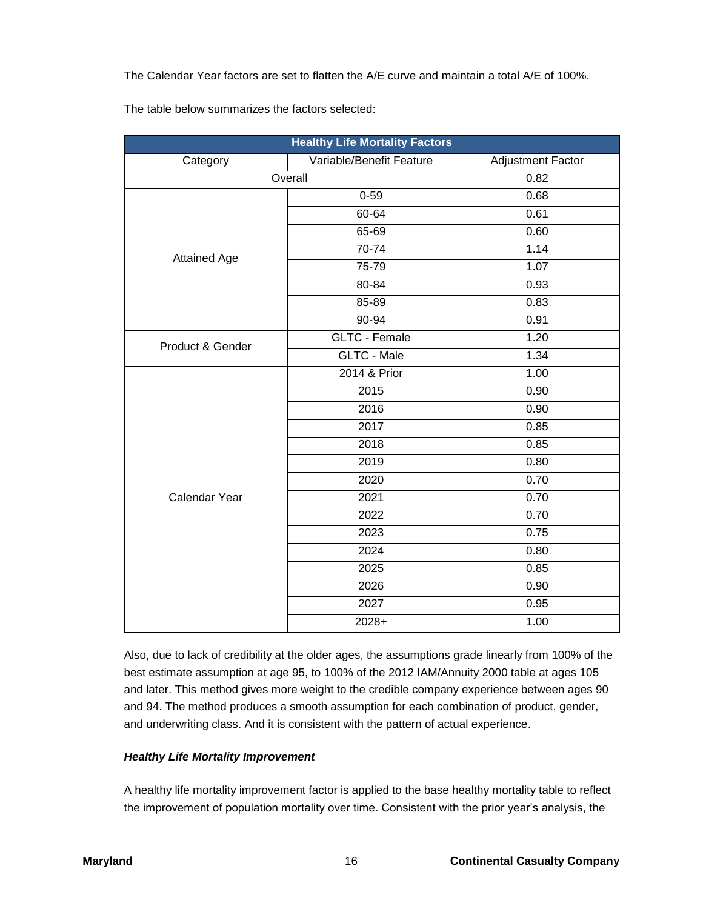The Calendar Year factors are set to flatten the A/E curve and maintain a total A/E of 100%.

The table below summarizes the factors selected:

| <b>Healthy Life Mortality Factors</b><br><b>Adjustment Factor</b> |                          |      |  |  |  |  |
|-------------------------------------------------------------------|--------------------------|------|--|--|--|--|
| Category                                                          | Variable/Benefit Feature |      |  |  |  |  |
| Overall                                                           | 0.82                     |      |  |  |  |  |
|                                                                   | $0 - 59$                 | 0.68 |  |  |  |  |
|                                                                   | 60-64                    | 0.61 |  |  |  |  |
|                                                                   | 65-69                    | 0.60 |  |  |  |  |
| <b>Attained Age</b>                                               | 70-74                    | 1.14 |  |  |  |  |
|                                                                   | $75 - 79$                | 1.07 |  |  |  |  |
|                                                                   | 80-84                    | 0.93 |  |  |  |  |
|                                                                   | 85-89                    | 0.83 |  |  |  |  |
|                                                                   | 90-94                    | 0.91 |  |  |  |  |
| Product & Gender                                                  | GLTC - Female            | 1.20 |  |  |  |  |
|                                                                   | <b>GLTC - Male</b>       | 1.34 |  |  |  |  |
|                                                                   | 2014 & Prior             | 1.00 |  |  |  |  |
|                                                                   | 2015                     | 0.90 |  |  |  |  |
|                                                                   | 2016                     | 0.90 |  |  |  |  |
|                                                                   | 2017                     | 0.85 |  |  |  |  |
|                                                                   | 2018                     | 0.85 |  |  |  |  |
|                                                                   | 2019                     | 0.80 |  |  |  |  |
|                                                                   | 2020                     | 0.70 |  |  |  |  |
| Calendar Year                                                     | 2021                     | 0.70 |  |  |  |  |
|                                                                   | 2022                     | 0.70 |  |  |  |  |
|                                                                   | 2023                     | 0.75 |  |  |  |  |
|                                                                   | 2024                     | 0.80 |  |  |  |  |
|                                                                   | 2025                     | 0.85 |  |  |  |  |
|                                                                   | 2026                     | 0.90 |  |  |  |  |
|                                                                   | 2027                     | 0.95 |  |  |  |  |
|                                                                   | 2028+                    | 1.00 |  |  |  |  |

Also, due to lack of credibility at the older ages, the assumptions grade linearly from 100% of the best estimate assumption at age 95, to 100% of the 2012 IAM/Annuity 2000 table at ages 105 and later. This method gives more weight to the credible company experience between ages 90 and 94. The method produces a smooth assumption for each combination of product, gender, and underwriting class. And it is consistent with the pattern of actual experience.

## *Healthy Life Mortality Improvement*

A healthy life mortality improvement factor is applied to the base healthy mortality table to reflect the improvement of population mortality over time. Consistent with the prior year's analysis, the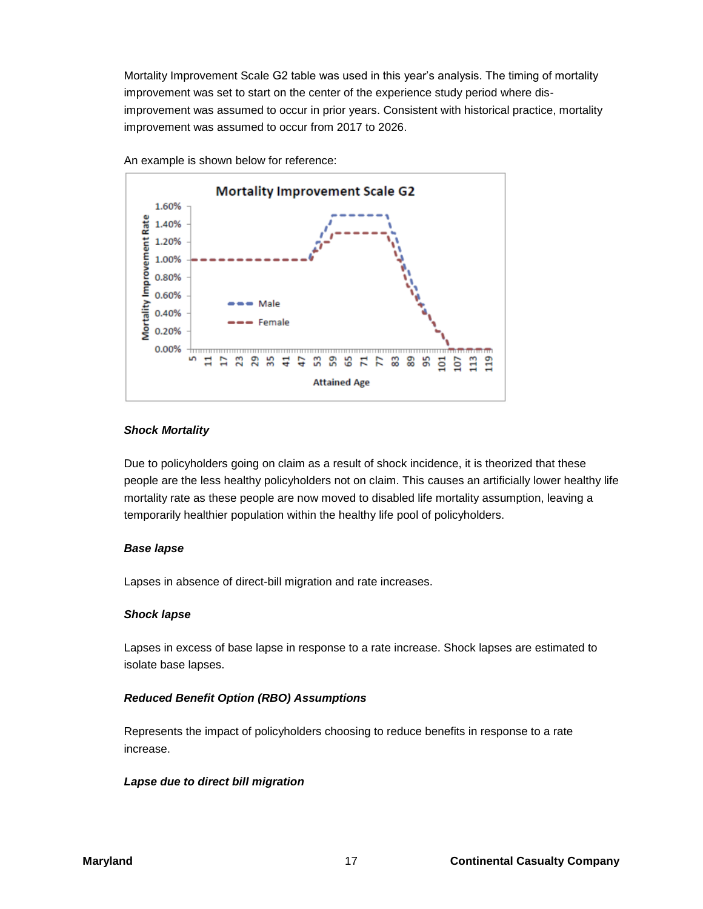Mortality Improvement Scale G2 table was used in this year's analysis. The timing of mortality improvement was set to start on the center of the experience study period where disimprovement was assumed to occur in prior years. Consistent with historical practice, mortality improvement was assumed to occur from 2017 to 2026.



An example is shown below for reference:

#### *Shock Mortality*

Due to policyholders going on claim as a result of shock incidence, it is theorized that these people are the less healthy policyholders not on claim. This causes an artificially lower healthy life mortality rate as these people are now moved to disabled life mortality assumption, leaving a temporarily healthier population within the healthy life pool of policyholders.

#### *Base lapse*

Lapses in absence of direct-bill migration and rate increases.

#### *Shock lapse*

Lapses in excess of base lapse in response to a rate increase. Shock lapses are estimated to isolate base lapses.

## *Reduced Benefit Option (RBO) Assumptions*

Represents the impact of policyholders choosing to reduce benefits in response to a rate increase.

#### *Lapse due to direct bill migration*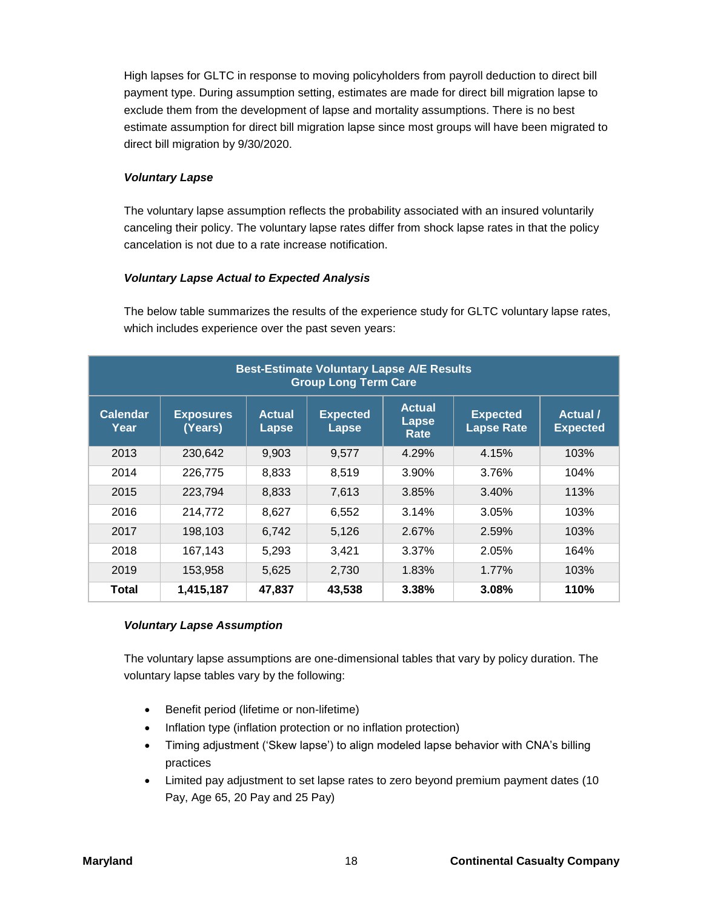High lapses for GLTC in response to moving policyholders from payroll deduction to direct bill payment type. During assumption setting, estimates are made for direct bill migration lapse to exclude them from the development of lapse and mortality assumptions. There is no best estimate assumption for direct bill migration lapse since most groups will have been migrated to direct bill migration by 9/30/2020.

## *Voluntary Lapse*

The voluntary lapse assumption reflects the probability associated with an insured voluntarily canceling their policy. The voluntary lapse rates differ from shock lapse rates in that the policy cancelation is not due to a rate increase notification.

## *Voluntary Lapse Actual to Expected Analysis*

The below table summarizes the results of the experience study for GLTC voluntary lapse rates, which includes experience over the past seven years:

| <b>Best-Estimate Voluntary Lapse A/E Results</b><br><b>Group Long Term Care</b> |                             |                        |                                 |                                |                                      |                                  |  |
|---------------------------------------------------------------------------------|-----------------------------|------------------------|---------------------------------|--------------------------------|--------------------------------------|----------------------------------|--|
| <b>Calendar</b><br>Year                                                         | <b>Exposures</b><br>(Years) | <b>Actual</b><br>Lapse | <b>Expected</b><br><b>Lapse</b> | <b>Actual</b><br>Lapse<br>Rate | <b>Expected</b><br><b>Lapse Rate</b> | <b>Actual</b><br><b>Expected</b> |  |
| 2013                                                                            | 230,642                     | 9,903                  | 9,577                           | 4.29%                          | 4.15%                                | 103%                             |  |
| 2014                                                                            | 226,775                     | 8,833                  | 8,519                           | $3.90\%$                       | 3.76%                                | 104%                             |  |
| 2015                                                                            | 223,794                     | 8,833                  | 7,613                           | 3.85%                          | 3.40%                                | 113%                             |  |
| 2016                                                                            | 214,772                     | 8,627                  | 6,552                           | 3.14%                          | 3.05%                                | 103%                             |  |
| 2017                                                                            | 198,103                     | 6,742                  | 5,126                           | 2.67%                          | 2.59%                                | 103%                             |  |
| 2018                                                                            | 167,143                     | 5,293                  | 3,421                           | 3.37%                          | 2.05%                                | 164%                             |  |
| 2019                                                                            | 153,958                     | 5,625                  | 2,730                           | 1.83%                          | 1.77%                                | 103%                             |  |
| Total                                                                           | 1,415,187                   | 47,837                 | 43,538                          | 3.38%                          | 3.08%                                | 110%                             |  |

## *Voluntary Lapse Assumption*

The voluntary lapse assumptions are one-dimensional tables that vary by policy duration. The voluntary lapse tables vary by the following:

- Benefit period (lifetime or non-lifetime)
- Inflation type (inflation protection or no inflation protection)
- Timing adjustment ('Skew lapse') to align modeled lapse behavior with CNA's billing practices
- Limited pay adjustment to set lapse rates to zero beyond premium payment dates (10 Pay, Age 65, 20 Pay and 25 Pay)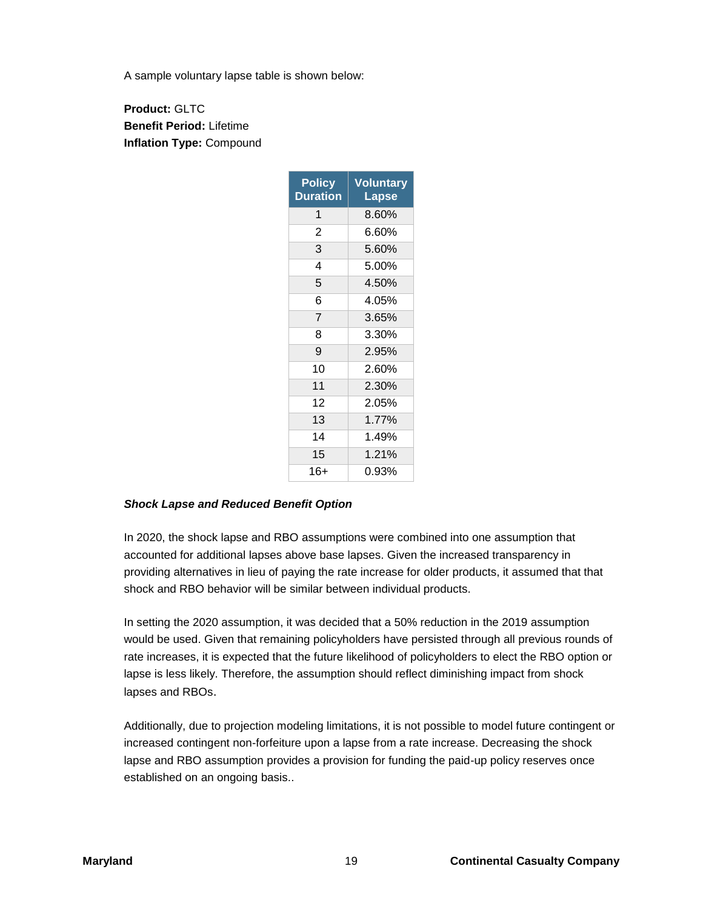A sample voluntary lapse table is shown below:

**Product:** GLTC **Benefit Period:** Lifetime **Inflation Type:** Compound

| <b>Policy</b><br><b>Duration</b> | <b>Voluntary</b><br>Lapse |
|----------------------------------|---------------------------|
| 1                                | 8.60%                     |
| $\overline{2}$                   | 6.60%                     |
| 3                                | 5.60%                     |
| 4                                | 5.00%                     |
| 5                                | 4.50%                     |
| 6                                | 4.05%                     |
| $\overline{7}$                   | 3.65%                     |
| 8                                | 3.30%                     |
| 9                                | 2.95%                     |
| 10                               | 2.60%                     |
| 11                               | 2.30%                     |
| 12                               | 2.05%                     |
| 13                               | 1.77%                     |
| 14                               | 1.49%                     |
| 15                               | 1.21%                     |
| 16+                              | 0.93%                     |

## *Shock Lapse and Reduced Benefit Option*

In 2020, the shock lapse and RBO assumptions were combined into one assumption that accounted for additional lapses above base lapses. Given the increased transparency in providing alternatives in lieu of paying the rate increase for older products, it assumed that that shock and RBO behavior will be similar between individual products.

In setting the 2020 assumption, it was decided that a 50% reduction in the 2019 assumption would be used. Given that remaining policyholders have persisted through all previous rounds of rate increases, it is expected that the future likelihood of policyholders to elect the RBO option or lapse is less likely. Therefore, the assumption should reflect diminishing impact from shock lapses and RBOs.

Additionally, due to projection modeling limitations, it is not possible to model future contingent or increased contingent non-forfeiture upon a lapse from a rate increase. Decreasing the shock lapse and RBO assumption provides a provision for funding the paid-up policy reserves once established on an ongoing basis..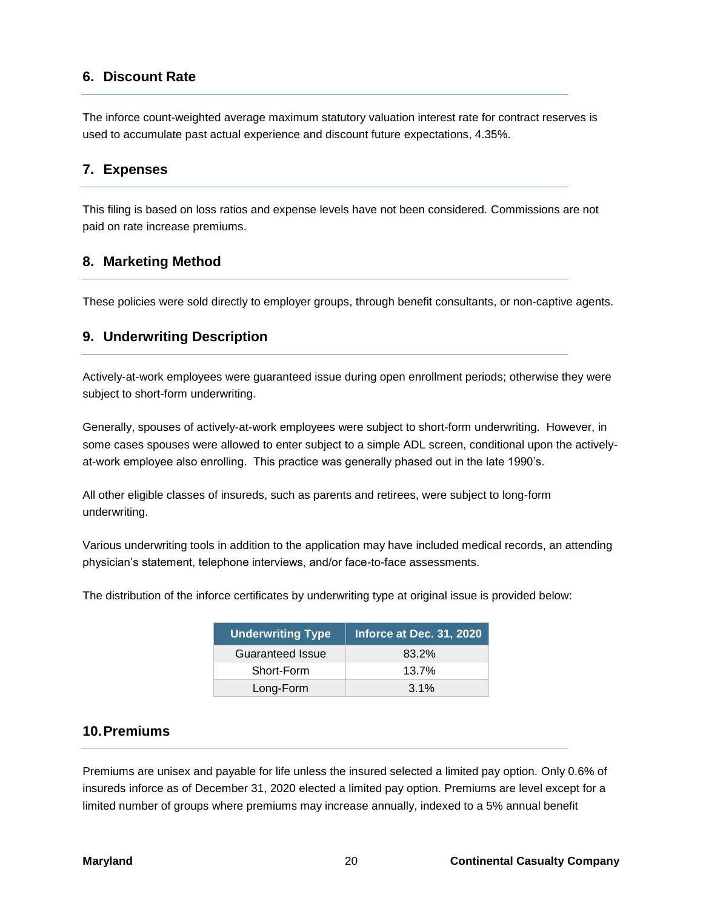# **6. Discount Rate**

The inforce count-weighted average maximum statutory valuation interest rate for contract reserves is used to accumulate past actual experience and discount future expectations, 4.35%.

## **7. Expenses**

This filing is based on loss ratios and expense levels have not been considered. Commissions are not paid on rate increase premiums.

## **8. Marketing Method**

These policies were sold directly to employer groups, through benefit consultants, or non-captive agents.

## **9. Underwriting Description**

Actively-at-work employees were guaranteed issue during open enrollment periods; otherwise they were subject to short-form underwriting.

Generally, spouses of actively-at-work employees were subject to short-form underwriting. However, in some cases spouses were allowed to enter subject to a simple ADL screen, conditional upon the activelyat-work employee also enrolling. This practice was generally phased out in the late 1990's.

All other eligible classes of insureds, such as parents and retirees, were subject to long-form underwriting.

Various underwriting tools in addition to the application may have included medical records, an attending physician's statement, telephone interviews, and/or face-to-face assessments.

The distribution of the inforce certificates by underwriting type at original issue is provided below:

| <b>Underwriting Type</b> | Inforce at Dec. 31, 2020 |
|--------------------------|--------------------------|
| <b>Guaranteed Issue</b>  | 83.2%                    |
| Short-Form               | $13.7\%$                 |
| Long-Form                | $3.1\%$                  |

## **10.Premiums**

Premiums are unisex and payable for life unless the insured selected a limited pay option. Only 0.6% of insureds inforce as of December 31, 2020 elected a limited pay option. Premiums are level except for a limited number of groups where premiums may increase annually, indexed to a 5% annual benefit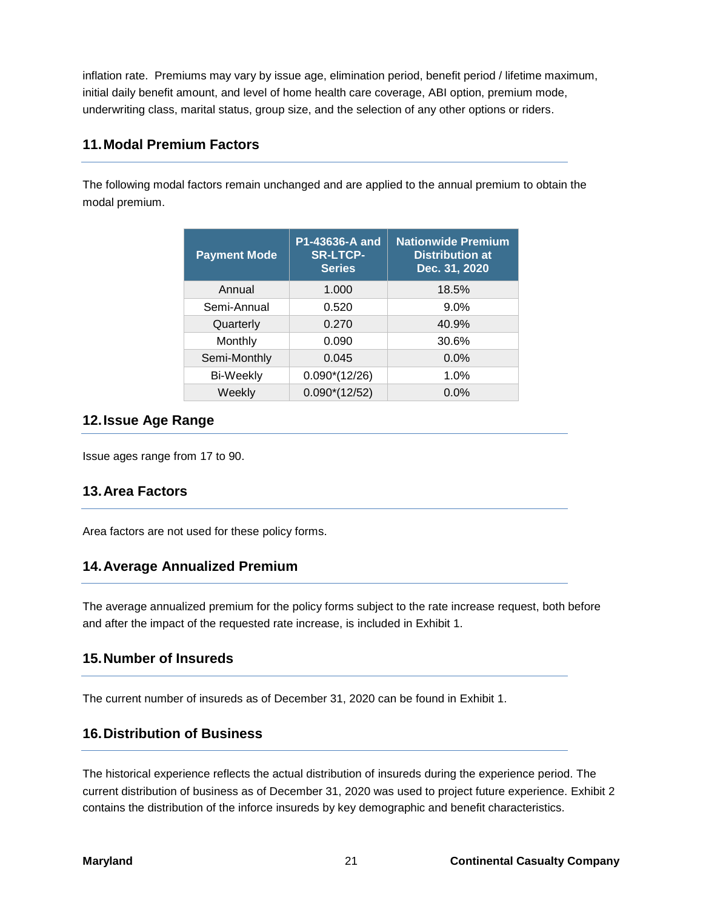inflation rate. Premiums may vary by issue age, elimination period, benefit period / lifetime maximum, initial daily benefit amount, and level of home health care coverage, ABI option, premium mode, underwriting class, marital status, group size, and the selection of any other options or riders.

# **11.Modal Premium Factors**

The following modal factors remain unchanged and are applied to the annual premium to obtain the modal premium.

| <b>Payment Mode</b> | P1-43636-A and<br><b>SR-LTCP-</b><br><b>Series</b> | <b>Nationwide Premium</b><br><b>Distribution at</b><br>Dec. 31, 2020 |
|---------------------|----------------------------------------------------|----------------------------------------------------------------------|
| Annual              | 1.000                                              | 18.5%                                                                |
| Semi-Annual         | 0.520                                              | 9.0%                                                                 |
| Quarterly           | 0.270                                              | 40.9%                                                                |
| Monthly             | 0.090                                              | 30.6%                                                                |
| Semi-Monthly        | 0.045                                              | 0.0%                                                                 |
| <b>Bi-Weekly</b>    | $0.090*(12/26)$                                    | 1.0%                                                                 |
| Weekly              | $0.090*(12/52)$                                    | $0.0\%$                                                              |

# **12.Issue Age Range**

Issue ages range from 17 to 90.

# **13.Area Factors**

Area factors are not used for these policy forms.

# **14.Average Annualized Premium**

The average annualized premium for the policy forms subject to the rate increase request, both before and after the impact of the requested rate increase, is included in Exhibit 1.

# **15.Number of Insureds**

The current number of insureds as of December 31, 2020 can be found in Exhibit 1.

# **16.Distribution of Business**

The historical experience reflects the actual distribution of insureds during the experience period. The current distribution of business as of December 31, 2020 was used to project future experience. Exhibit 2 contains the distribution of the inforce insureds by key demographic and benefit characteristics.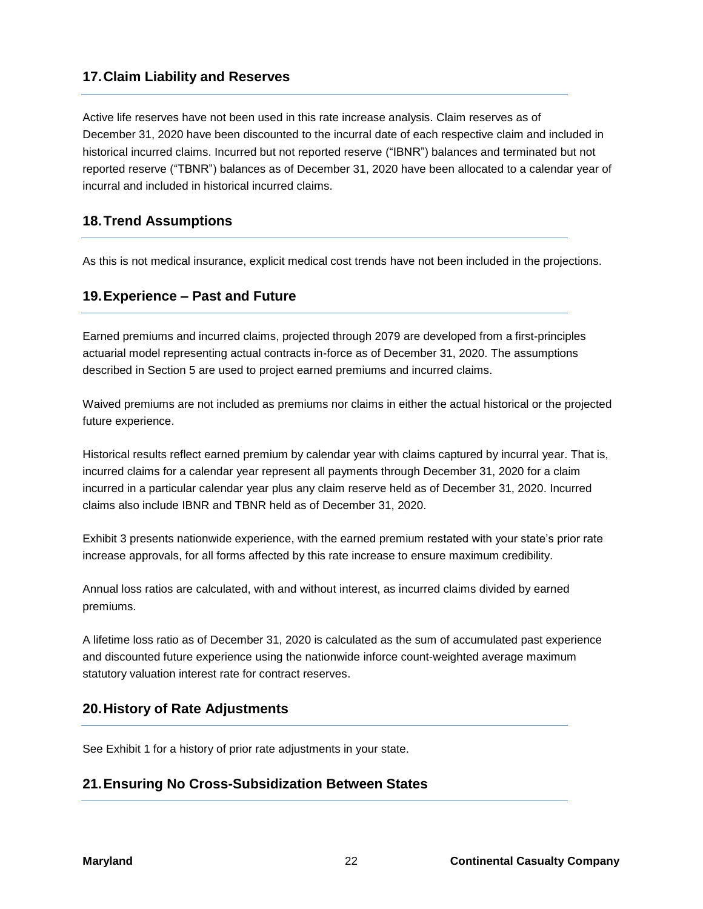# **17.Claim Liability and Reserves**

Active life reserves have not been used in this rate increase analysis. Claim reserves as of December 31, 2020 have been discounted to the incurral date of each respective claim and included in historical incurred claims. Incurred but not reported reserve ("IBNR") balances and terminated but not reported reserve ("TBNR") balances as of December 31, 2020 have been allocated to a calendar year of incurral and included in historical incurred claims.

# **18.Trend Assumptions**

As this is not medical insurance, explicit medical cost trends have not been included in the projections.

# **19.Experience – Past and Future**

Earned premiums and incurred claims, projected through 2079 are developed from a first-principles actuarial model representing actual contracts in-force as of December 31, 2020. The assumptions described in Section 5 are used to project earned premiums and incurred claims.

Waived premiums are not included as premiums nor claims in either the actual historical or the projected future experience.

Historical results reflect earned premium by calendar year with claims captured by incurral year. That is, incurred claims for a calendar year represent all payments through December 31, 2020 for a claim incurred in a particular calendar year plus any claim reserve held as of December 31, 2020. Incurred claims also include IBNR and TBNR held as of December 31, 2020.

Exhibit 3 presents nationwide experience, with the earned premium restated with your state's prior rate increase approvals, for all forms affected by this rate increase to ensure maximum credibility.

Annual loss ratios are calculated, with and without interest, as incurred claims divided by earned premiums.

A lifetime loss ratio as of December 31, 2020 is calculated as the sum of accumulated past experience and discounted future experience using the nationwide inforce count-weighted average maximum statutory valuation interest rate for contract reserves.

# **20.History of Rate Adjustments**

See Exhibit 1 for a history of prior rate adjustments in your state.

# **21.Ensuring No Cross-Subsidization Between States**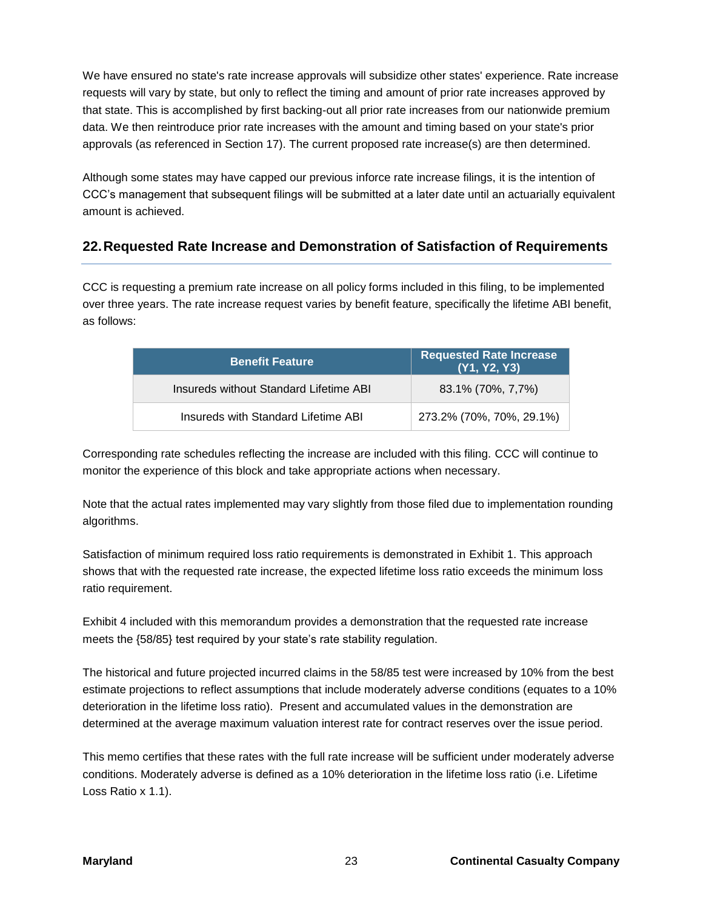We have ensured no state's rate increase approvals will subsidize other states' experience. Rate increase requests will vary by state, but only to reflect the timing and amount of prior rate increases approved by that state. This is accomplished by first backing-out all prior rate increases from our nationwide premium data. We then reintroduce prior rate increases with the amount and timing based on your state's prior approvals (as referenced in Section 17). The current proposed rate increase(s) are then determined.

Although some states may have capped our previous inforce rate increase filings, it is the intention of CCC's management that subsequent filings will be submitted at a later date until an actuarially equivalent amount is achieved.

# **22.Requested Rate Increase and Demonstration of Satisfaction of Requirements**

CCC is requesting a premium rate increase on all policy forms included in this filing, to be implemented over three years. The rate increase request varies by benefit feature, specifically the lifetime ABI benefit, as follows:

| <b>Benefit Feature</b>                 | <b>Requested Rate Increase</b><br>(Y1, Y2, Y3) |
|----------------------------------------|------------------------------------------------|
| Insureds without Standard Lifetime ABI | 83.1% (70%, 7,7%)                              |
| Insureds with Standard Lifetime ABI    | 273.2% (70%, 70%, 29.1%)                       |

Corresponding rate schedules reflecting the increase are included with this filing. CCC will continue to monitor the experience of this block and take appropriate actions when necessary.

Note that the actual rates implemented may vary slightly from those filed due to implementation rounding algorithms.

Satisfaction of minimum required loss ratio requirements is demonstrated in Exhibit 1. This approach shows that with the requested rate increase, the expected lifetime loss ratio exceeds the minimum loss ratio requirement.

Exhibit 4 included with this memorandum provides a demonstration that the requested rate increase meets the {58/85} test required by your state's rate stability regulation.

The historical and future projected incurred claims in the 58/85 test were increased by 10% from the best estimate projections to reflect assumptions that include moderately adverse conditions (equates to a 10% deterioration in the lifetime loss ratio). Present and accumulated values in the demonstration are determined at the average maximum valuation interest rate for contract reserves over the issue period.

This memo certifies that these rates with the full rate increase will be sufficient under moderately adverse conditions. Moderately adverse is defined as a 10% deterioration in the lifetime loss ratio (i.e. Lifetime Loss Ratio x 1.1).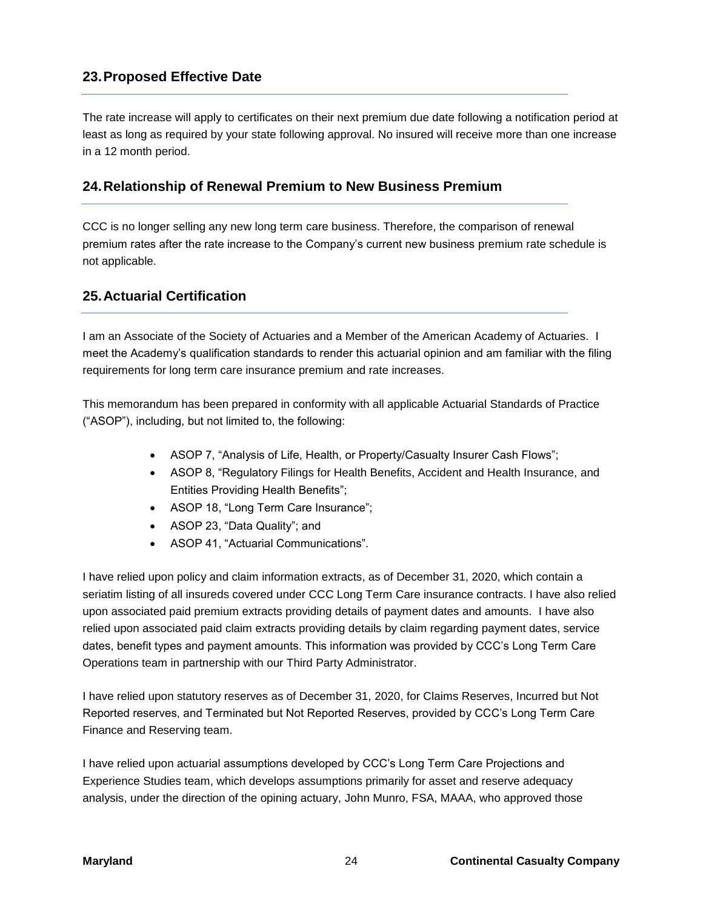# **23.Proposed Effective Date**

The rate increase will apply to certificates on their next premium due date following a notification period at least as long as required by your state following approval. No insured will receive more than one increase in a 12 month period.

# **24.Relationship of Renewal Premium to New Business Premium**

CCC is no longer selling any new long term care business. Therefore, the comparison of renewal premium rates after the rate increase to the Company's current new business premium rate schedule is not applicable.

# **25.Actuarial Certification**

I am an Associate of the Society of Actuaries and a Member of the American Academy of Actuaries. I meet the Academy's qualification standards to render this actuarial opinion and am familiar with the filing requirements for long term care insurance premium and rate increases.

This memorandum has been prepared in conformity with all applicable Actuarial Standards of Practice ("ASOP"), including, but not limited to, the following:

- ASOP 7, "Analysis of Life, Health, or Property/Casualty Insurer Cash Flows";
- ASOP 8, "Regulatory Filings for Health Benefits, Accident and Health Insurance, and Entities Providing Health Benefits";
- ASOP 18, "Long Term Care Insurance";
- ASOP 23, "Data Quality"; and
- ASOP 41, "Actuarial Communications".

I have relied upon policy and claim information extracts, as of December 31, 2020, which contain a seriatim listing of all insureds covered under CCC Long Term Care insurance contracts. I have also relied upon associated paid premium extracts providing details of payment dates and amounts. I have also relied upon associated paid claim extracts providing details by claim regarding payment dates, service dates, benefit types and payment amounts. This information was provided by CCC's Long Term Care Operations team in partnership with our Third Party Administrator.

I have relied upon statutory reserves as of December 31, 2020, for Claims Reserves, Incurred but Not Reported reserves, and Terminated but Not Reported Reserves, provided by CCC's Long Term Care Finance and Reserving team.

I have relied upon actuarial assumptions developed by CCC's Long Term Care Projections and Experience Studies team, which develops assumptions primarily for asset and reserve adequacy analysis, under the direction of the opining actuary, John Munro, FSA, MAAA, who approved those